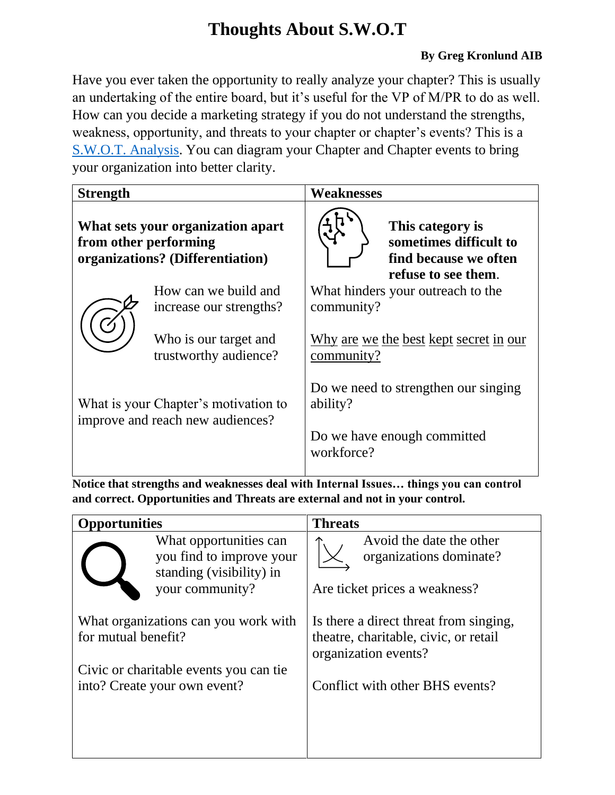# **Thoughts About S.W.O.T**

## **By Greg Kronlund AIB**

Have you ever taken the opportunity to really analyze your chapter? This is usually an undertaking of the entire board, but it's useful for the VP of M/PR to do as well. How can you decide a marketing strategy if you do not understand the strengths, weakness, opportunity, and threats to your chapter or chapter's events? This is a [S.W.O.T. Analysis.](https://youtu.be/H5LyUlDSuks) You can diagram your Chapter and Chapter events to bring your organization into better clarity.

| <b>Strength</b>                                                                                |                                                 | <b>Weaknesses</b>                         |                                                                                            |
|------------------------------------------------------------------------------------------------|-------------------------------------------------|-------------------------------------------|--------------------------------------------------------------------------------------------|
| What sets your organization apart<br>from other performing<br>organizations? (Differentiation) |                                                 |                                           | This category is<br>sometimes difficult to<br>find because we often<br>refuse to see them. |
|                                                                                                | How can we build and<br>increase our strengths? | community?                                | What hinders your outreach to the                                                          |
|                                                                                                | Who is our target and<br>trustworthy audience?  | community?                                | Why are we the best kept secret in our                                                     |
| What is your Chapter's motivation to<br>improve and reach new audiences?                       |                                                 | ability?                                  | Do we need to strengthen our singing                                                       |
|                                                                                                |                                                 | Do we have enough committed<br>workforce? |                                                                                            |

**Notice that strengths and weaknesses deal with Internal Issues… things you can control and correct. Opportunities and Threats are external and not in your control.**

| pportunities                                                                                                                           | <b>Threats</b>                                                                                                                             |  |
|----------------------------------------------------------------------------------------------------------------------------------------|--------------------------------------------------------------------------------------------------------------------------------------------|--|
| What opportunities can<br>you find to improve your<br>standing (visibility) in<br>your community?                                      | Avoid the date the other<br>organizations dominate?<br>Are ticket prices a weakness?                                                       |  |
| What organizations can you work with<br>for mutual benefit?<br>Civic or charitable events you can tie.<br>into? Create your own event? | Is there a direct threat from singing,<br>theatre, charitable, civic, or retail<br>organization events?<br>Conflict with other BHS events? |  |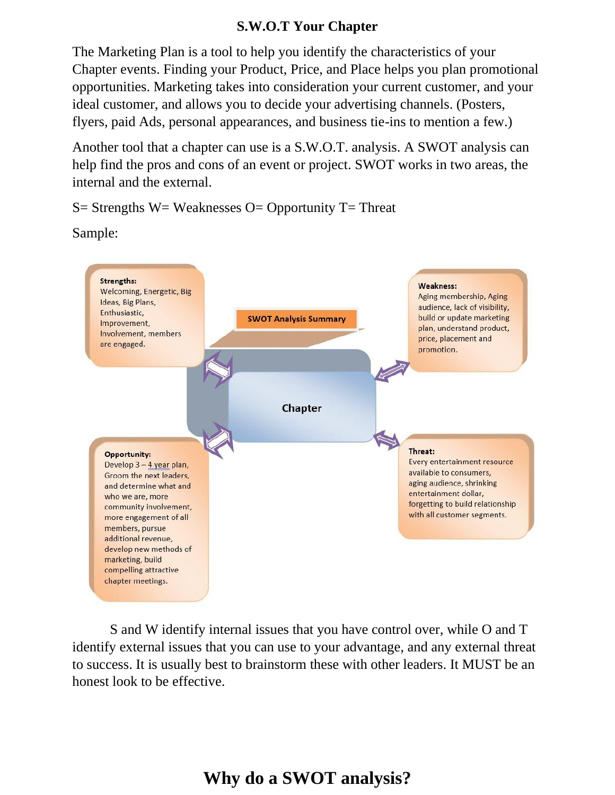## **S.W.O.T Your Chapter**

The Marketing Plan is a tool to help you identify the characteristics of your Chapter events. Finding your Product, Price, and Place helps you plan promotional opportunities. Marketing takes into consideration your current customer, and your ideal customer, and allows you to decide your advertising channels. (Posters, flyers, paid Ads, personal appearances, and business tie-ins to mention a few.)

Another tool that a chapter can use is a S.W.O.T. analysis. A SWOT analysis can help find the pros and cons of an event or project. SWOT works in two areas, the internal and the external.

 $S=$  Strengths W= Weaknesses O= Opportunity T= Threat

Sample:



S and W identify internal issues that you have control over, while O and T identify external issues that you can use to your advantage, and any external threat to success. It is usually best to brainstorm these with other leaders. It MUST be an honest look to be effective.

# **Why do a SWOT analysis?**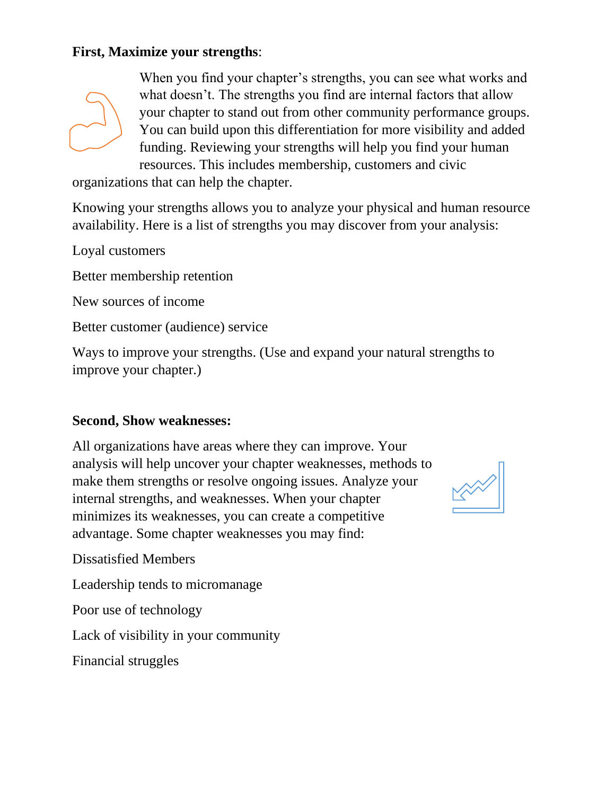# **First, Maximize your strengths**:



When you find your chapter's strengths, you can see what works and what doesn't. The strengths you find are internal factors that allow your chapter to stand out from other community performance groups. You can build upon this differentiation for more visibility and added funding. Reviewing your strengths will help you find your human resources. This includes membership, customers and civic

organizations that can help the chapter.

Knowing your strengths allows you to analyze your physical and human resource availability. Here is a list of strengths you may discover from your analysis:

Loyal customers

Better membership retention

New sources of income

Better customer (audience) service

Ways to improve your strengths. (Use and expand your natural strengths to improve your chapter.)

#### **Second, Show weaknesses:**

All organizations have areas where they can improve. Your analysis will help uncover your chapter weaknesses, methods to make them strengths or resolve ongoing issues. Analyze your internal strengths, and weaknesses. When your chapter minimizes its weaknesses, you can create a competitive advantage. Some chapter weaknesses you may find:



Dissatisfied Members

Leadership tends to micromanage

Poor use of technology

Lack of visibility in your community

Financial struggles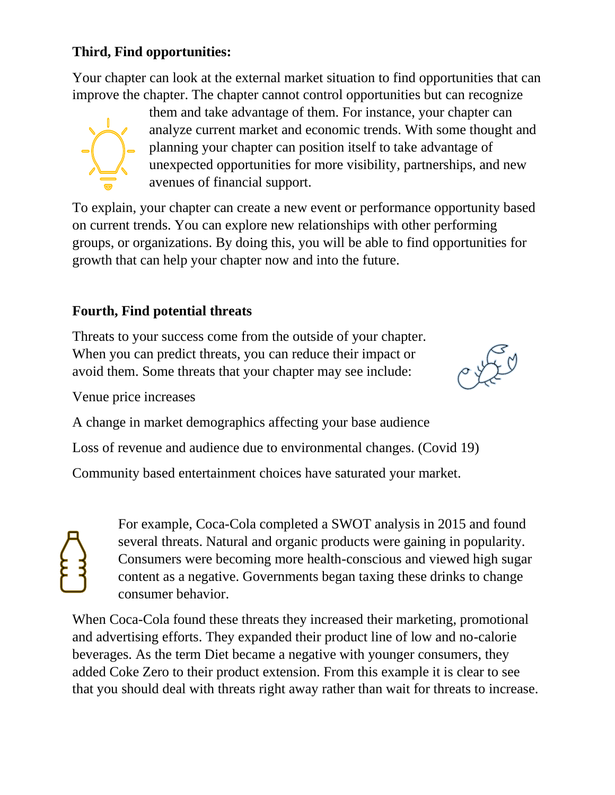# **Third, Find opportunities:**

Your chapter can look at the external market situation to find opportunities that can improve the chapter. The chapter cannot control opportunities but can recognize



them and take advantage of them. For instance, your chapter can analyze current market and economic trends. With some thought and planning your chapter can position itself to take advantage of unexpected opportunities for more visibility, partnerships, and new avenues of financial support.

To explain, your chapter can create a new event or performance opportunity based on current trends. You can explore new relationships with other performing groups, or organizations. By doing this, you will be able to find opportunities for growth that can help your chapter now and into the future.

# **Fourth, Find potential threats**

Threats to your success come from the outside of your chapter. When you can predict threats, you can reduce their impact or avoid them. Some threats that your chapter may see include:



Venue price increases

A change in market demographics affecting your base audience

Loss of revenue and audience due to environmental changes. (Covid 19)

Community based entertainment choices have saturated your market.

For example, Coca-Cola completed a SWOT analysis in 2015 and found several threats. Natural and organic products were gaining in popularity. Consumers were becoming more health-conscious and viewed high sugar content as a negative. Governments began taxing these drinks to change consumer behavior.

When Coca-Cola found these threats they increased their marketing, promotional and advertising efforts. They expanded their product line of low and no-calorie beverages. As the term Diet became a negative with younger consumers, they added Coke Zero to their product extension. From this example it is clear to see that you should deal with threats right away rather than wait for threats to increase.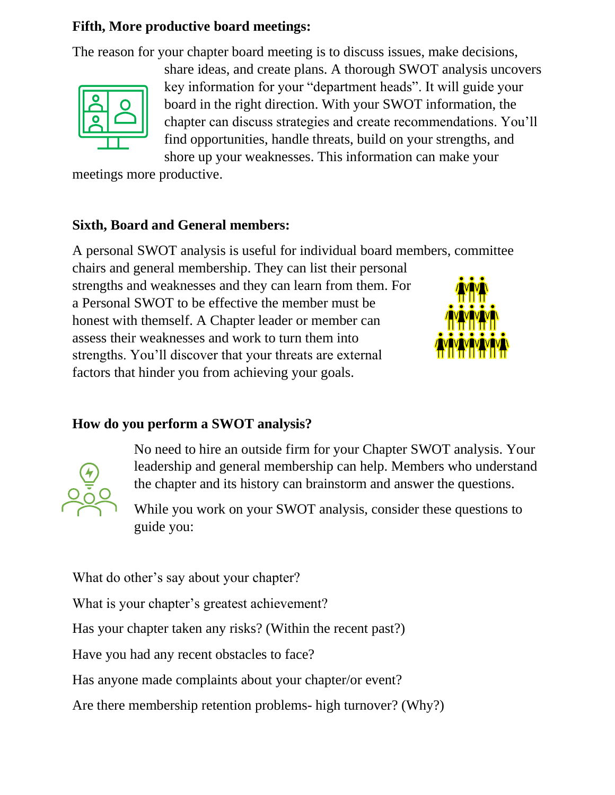# **Fifth, More productive board meetings:**

The reason for your chapter board meeting is to discuss issues, make decisions,



share ideas, and create plans. A thorough SWOT analysis uncovers key information for your "department heads". It will guide your board in the right direction. With your SWOT information, the chapter can discuss strategies and create recommendations. You'll find opportunities, handle threats, build on your strengths, and shore up your weaknesses. This information can make your

meetings more productive.

#### **Sixth, Board and General members:**

A personal SWOT analysis is useful for individual board members, committee chairs and general membership. They can list their personal strengths and weaknesses and they can learn from them. For a Personal SWOT to be effective the member must be honest with themself. A Chapter leader or member can assess their weaknesses and work to turn them into strengths. You'll discover that your threats are external factors that hinder you from achieving your goals.

# **How do you perform a SWOT analysis?**



No need to hire an outside firm for your Chapter SWOT analysis. Your leadership and general membership can help. Members who understand the chapter and its history can brainstorm and answer the questions.

While you work on your SWOT analysis, consider these questions to guide you:

What do other's say about your chapter?

What is your chapter's greatest achievement?

Has your chapter taken any risks? (Within the recent past?)

Have you had any recent obstacles to face?

Has anyone made complaints about your chapter/or event?

Are there membership retention problems- high turnover? (Why?)